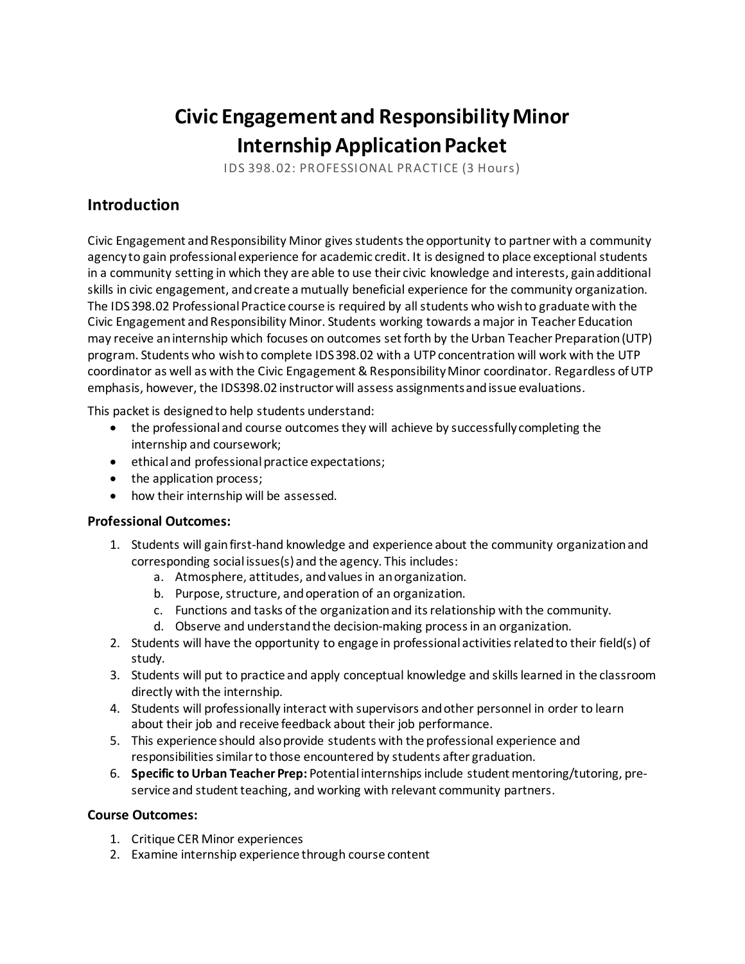# **Civic Engagement and Responsibility Minor Internship Application Packet**

IDS 398.02: PROFESSIONAL PRACTICE (3 Hours)

# **Introduction**

Civic Engagement and Responsibility Minor gives students the opportunity to partner with a community agency to gain professional experience for academic credit. It is designed to place exceptional students in a community setting in which they are able to use their civic knowledge and interests, gain additional skills in civic engagement, andcreate a mutually beneficial experience for the community organization. The IDS 398.02 Professional Practice course is required by all students who wish to graduate with the Civic Engagement and Responsibility Minor. Students working towards a major in Teacher Education may receive an internship which focuses on outcomes set forth by the Urban Teacher Preparation (UTP) program. Students who wish to complete IDS 398.02 with a UTP concentration will work with the UTP coordinator as well as with the Civic Engagement & Responsibility Minor coordinator. Regardless of UTP emphasis, however, the IDS398.02 instructor will assess assignments and issue evaluations.

This packet is designed to help students understand:

- the professional and course outcomes they will achieve by successfully completing the internship and coursework;
- ethical and professional practice expectations;
- the application process;
- how their internship will be assessed.

### **Professional Outcomes:**

- 1. Students will gain first-hand knowledge and experience about the community organization and corresponding social issues(s) and the agency. This includes:
	- a. Atmosphere, attitudes, and values in an organization.
	- b. Purpose, structure, and operation of an organization.
	- c. Functions and tasks of the organization and its relationship with the community.
	- d. Observe and understand the decision-making process in an organization.
- 2. Students will have the opportunity to engage in professional activities related to their field(s) of study.
- 3. Students will put to practice and apply conceptual knowledge and skills learned in the classroom directly with the internship.
- 4. Students will professionally interact with supervisors and other personnel in order to learn about their job and receive feedback about their job performance.
- 5. This experience should also provide students with the professional experience and responsibilities similar to those encountered by students after graduation.
- 6. **Specific to Urban Teacher Prep:** Potential internships include student mentoring/tutoring, preservice and student teaching, and working with relevant community partners.

### **Course Outcomes:**

- 1. Critique CER Minor experiences
- 2. Examine internship experience through course content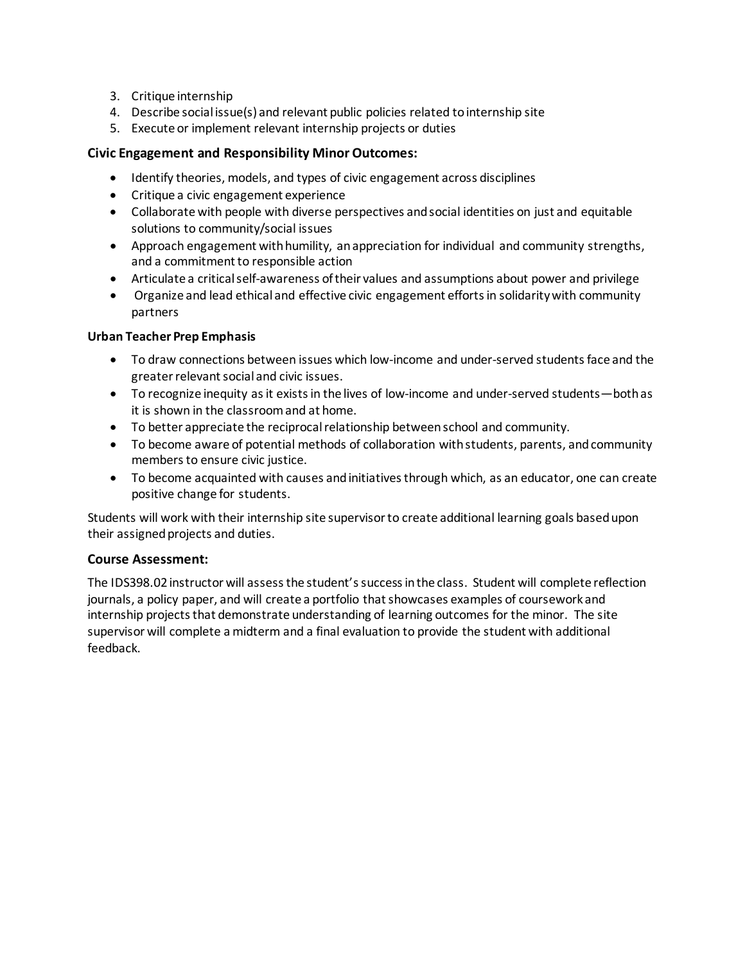- 3. Critique internship
- 4. Describe social issue(s) and relevant public policies related to internship site
- 5. Execute or implement relevant internship projects or duties

# **Civic Engagement and Responsibility Minor Outcomes:**

- Identify theories, models, and types of civic engagement across disciplines
- Critique a civic engagement experience
- Collaborate with people with diverse perspectives and social identities on just and equitable solutions to community/social issues
- Approach engagement with humility, an appreciation for individual and community strengths, and a commitment to responsible action
- Articulate a critical self-awareness of their values and assumptions about power and privilege
- Organize and lead ethical and effective civic engagement efforts in solidarity with community partners

#### **Urban Teacher Prep Emphasis**

- To draw connections between issues which low-income and under-served students face and the greater relevant social and civic issues.
- To recognize inequity as it exists in the lives of low-income and under-served students—both as it is shown in the classroom and at home.
- To better appreciate the reciprocal relationship between school and community.
- To become aware of potential methods of collaboration with students, parents, and community members to ensure civic justice.
- To become acquainted with causes and initiatives through which, as an educator, one can create positive change for students.

Students will work with their internship site supervisorto create additional learning goals based upon their assigned projects and duties.

### **Course Assessment:**

The IDS398.02 instructor will assess the student's success in the class. Student will complete reflection journals, a policy paper, and will create a portfolio that showcases examples of coursework and internship projects that demonstrate understanding of learning outcomes for the minor. The site supervisor will complete a midterm and a final evaluation to provide the student with additional feedback.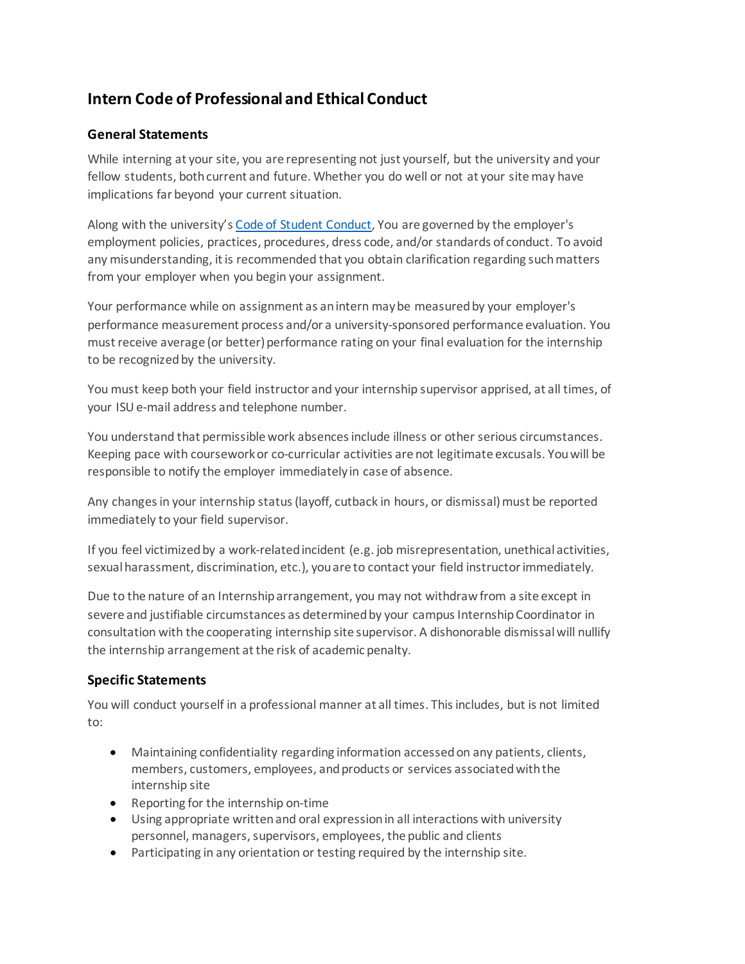# **Intern Code of Professional and Ethical Conduct**

# **General Statements**

While interning at your site, you are representing not just yourself, but the university and your fellow students, both current and future. Whether you do well or not at your site may have implications far beyond your current situation.

Along with the university'[s Code of Student Conduct,](https://deanofstudents.illinoisstate.edu/conduct/code/) You are governed by the employer's employment policies, practices, procedures, dress code, and/or standards of conduct. To avoid any misunderstanding, it is recommended that you obtain clarification regarding such matters from your employer when you begin your assignment.

Your performance while on assignment as an intern may be measured by your employer's performance measurement process and/or a university-sponsored performance evaluation. You must receive average (or better) performance rating on your final evaluation for the internship to be recognized by the university.

You must keep both your field instructor and your internship supervisor apprised, at all times, of your ISUe-mail address and telephone number.

You understand that permissible work absences include illness or other serious circumstances. Keeping pace with coursework or co-curricular activities are not legitimate excusals. You will be responsible to notify the employer immediately in case of absence.

Any changes in your internship status (layoff, cutback in hours, or dismissal) must be reported immediately to your field supervisor.

If you feel victimized by a work-related incident (e.g. job misrepresentation, unethical activities, sexual harassment, discrimination, etc.), you are to contact your field instructor immediately.

Due to the nature of an Internship arrangement, you may not withdraw from a site except in severe and justifiable circumstances as determined by your campus Internship Coordinator in consultation with the cooperating internship site supervisor. A dishonorable dismissal will nullify the internship arrangement at the risk of academic penalty.

# **Specific Statements**

You will conduct yourself in a professional manner at all times. This includes, but is not limited to:

- Maintaining confidentiality regarding information accessed on any patients, clients, members, customers, employees, and products or services associated with the internship site
- Reporting for the internship on-time
- Using appropriate written and oral expression in all interactions with university personnel, managers, supervisors, employees, the public and clients
- Participating in any orientation or testing required by the internship site.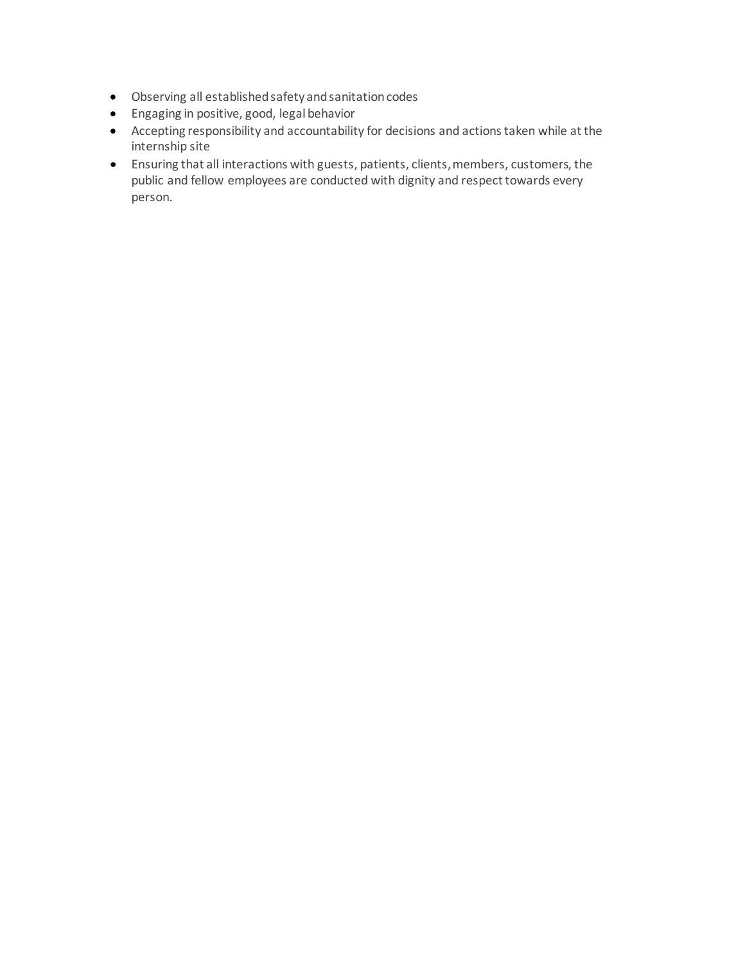- Observing all established safety and sanitation codes
- Engaging in positive, good, legal behavior
- Accepting responsibility and accountability for decisions and actions taken while at the internship site
- Ensuring that all interactions with guests, patients, clients, members, customers, the public and fellow employees are conducted with dignity and respect towards every person.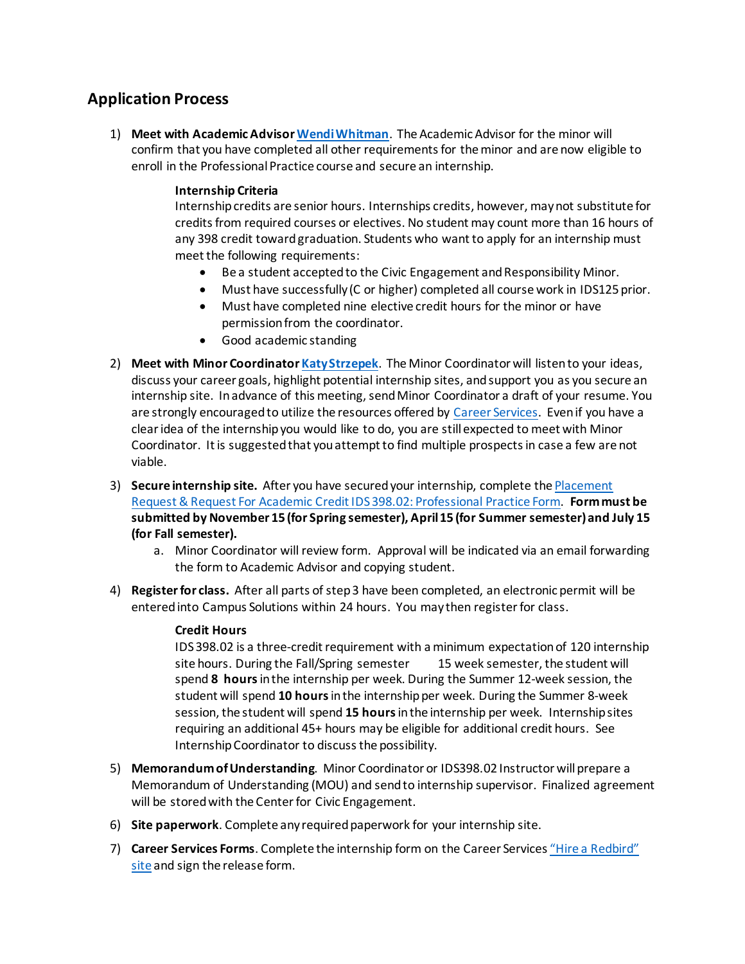# **Application Process**

1) **Meet with Academic Adviso[r Wendi Whitman](mailto:wjwhitm@IllinoisState.edu)**. The Academic Advisor for the minor will confirm that you have completed all other requirements for the minor and are now eligible to enroll in the Professional Practice course and secure an internship.

### **Internship Criteria**

Internship credits are senior hours. Internships credits, however, may not substitute for credits from required courses or electives. No student may count more than 16 hours of any 398 credit toward graduation. Students who want to apply for an internship must meet the following requirements:

- Be a student accepted to the Civic Engagement and Responsibility Minor.
- Must have successfully (C or higher) completed all course work in IDS125 prior.
- Must have completed nine elective credit hours for the minor or have permission from the coordinator.
- Good academic standing
- 2) **Meet with Minor Coordinato[r Katy Strzepek](mailto:kastrze@IllinoisState.edu)**. The Minor Coordinator will listen to your ideas, discuss your career goals, highlight potential internship sites, and support you as you secure an internship site. In advance of this meeting, send Minor Coordinator a draft of your resume. You are strongly encouraged to utilize the resources offered by [Career Services.](https://careerservices.illinoisstate.edu/) Even if you have a clear idea of the internship you would like to do, you are still expected to meet with Minor Coordinator. It is suggested that you attempt to find multiple prospects in case a few are not viable.
- 3) **Secure internship site.** After you have secured your internship, complete th[e Placement](https://forms.illinoisstate.edu/forms/cerminorinternship)  [Request & Request For Academic Credit IDS 398.02: Professional Practice Form.](https://forms.illinoisstate.edu/forms/cerminorinternship) **Formmust be submitted by November 15 (for Spring semester), April 15 (for Summer semester)and July 15 (for Fall semester).**
	- a. Minor Coordinator will review form. Approval will be indicated via an email forwarding the form to Academic Advisor and copying student.
- 4) **Register for class.** After all parts of step 3 have been completed, an electronic permit will be entered into Campus Solutions within 24 hours. You may then register for class.

#### **Credit Hours**

IDS 398.02 is a three-credit requirement with a minimum expectation of 120 internship site hours. During the Fall/Spring semester 15 week semester, the student will spend **8 hours** in the internship per week. During the Summer 12-week session, the student will spend **10 hours** in the internshipper week. During the Summer 8-week session, the student will spend **15 hours** in the internship per week. Internship sites requiring an additional 45+ hours may be eligible for additional credit hours. See Internship Coordinator to discuss the possibility.

- 5) **Memorandum of Understanding**. Minor Coordinator or IDS398.02 Instructor will prepare a Memorandum of Understanding (MOU) and send to internship supervisor. Finalized agreement will be stored with the Center for Civic Engagement.
- 6) **Site paperwork**. Complete any required paperwork for your internship site.
- 7) **Career Services Forms**. Complete the internship form on the Career Service[s "Hire a Redbird"](https://careerservices.illinoisstate.edu/hire/internshiprecordsetup.php)  [site](https://careerservices.illinoisstate.edu/hire/internshiprecordsetup.php) and sign the release form.